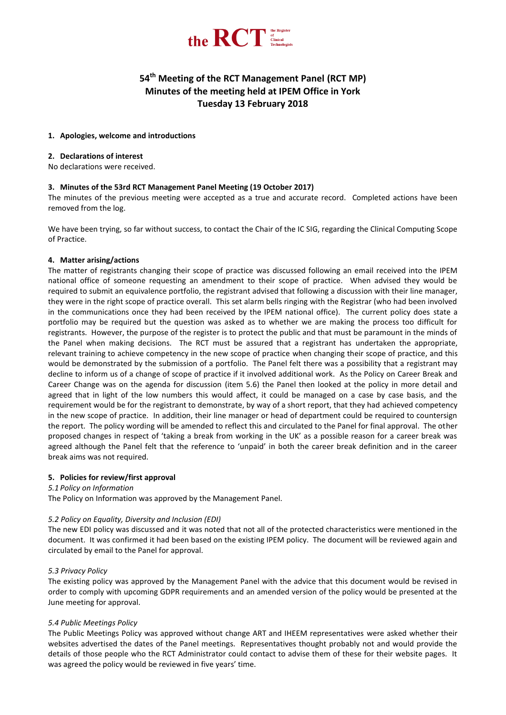

# **54 th Meeting of the RCT Management Panel (RCT MP) Minutes of the meeting held at IPEM Office in York Tuesday 13 February 2018**

## **1. Apologies, welcome and introductions**

## **2. Declarations of interest**

No declarations were received.

# **3. Minutes of the 53rd RCT Management Panel Meeting (19 October 2017)**

The minutes of the previous meeting were accepted as a true and accurate record. Completed actions have been removed from the log.

We have been trying, so far without success, to contact the Chair of the IC SIG, regarding the Clinical Computing Scope of Practice.

## **4. Matter arising/actions**

The matter of registrants changing their scope of practice was discussed following an email received into the IPEM national office of someone requesting an amendment to their scope of practice. When advised they would be required to submit an equivalence portfolio, the registrant advised that following a discussion with their line manager, they were in the right scope of practice overall. This set alarm bells ringing with the Registrar (who had been involved in the communications once they had been received by the IPEM national office). The current policy does state a portfolio may be required but the question was asked as to whether we are making the process too difficult for registrants. However, the purpose of the register is to protect the public and that must be paramount in the minds of the Panel when making decisions. The RCT must be assured that a registrant has undertaken the appropriate, relevant training to achieve competency in the new scope of practice when changing their scope of practice, and this would be demonstrated by the submission of a portfolio. The Panel felt there was a possibility that a registrant may decline to inform us of a change of scope of practice if it involved additional work. As the Policy on Career Break and Career Change was on the agenda for discussion (item 5.6) the Panel then looked at the policy in more detail and agreed that in light of the low numbers this would affect, it could be managed on a case by case basis, and the requirement would be for the registrant to demonstrate, by way of a short report, that they had achieved competency in the new scope of practice. In addition, their line manager or head of department could be required to countersign the report. The policy wording will be amended to reflect this and circulated to the Panel for final approval. The other proposed changes in respect of 'taking a break from working in the UK' as a possible reason for a career break was agreed although the Panel felt that the reference to 'unpaid' in both the career break definition and in the career break aims was not required.

# **5. Policies for review/first approval**

#### *5.1 Policy on Information*

The Policy on Information was approved by the Management Panel.

# *5.2 Policy on Equality, Diversity and Inclusion (EDI)*

The new EDI policy was discussed and it was noted that not all of the protected characteristics were mentioned in the document. It was confirmed it had been based on the existing IPEM policy. The document will be reviewed again and circulated by email to the Panel for approval.

# *5.3 Privacy Policy*

The existing policy was approved by the Management Panel with the advice that this document would be revised in order to comply with upcoming GDPR requirements and an amended version of the policy would be presented at the June meeting for approval.

#### *5.4 Public Meetings Policy*

The Public Meetings Policy was approved without change ART and IHEEM representatives were asked whether their websites advertised the dates of the Panel meetings. Representatives thought probably not and would provide the details of those people who the RCT Administrator could contact to advise them of these for their website pages. It was agreed the policy would be reviewed in five years' time.